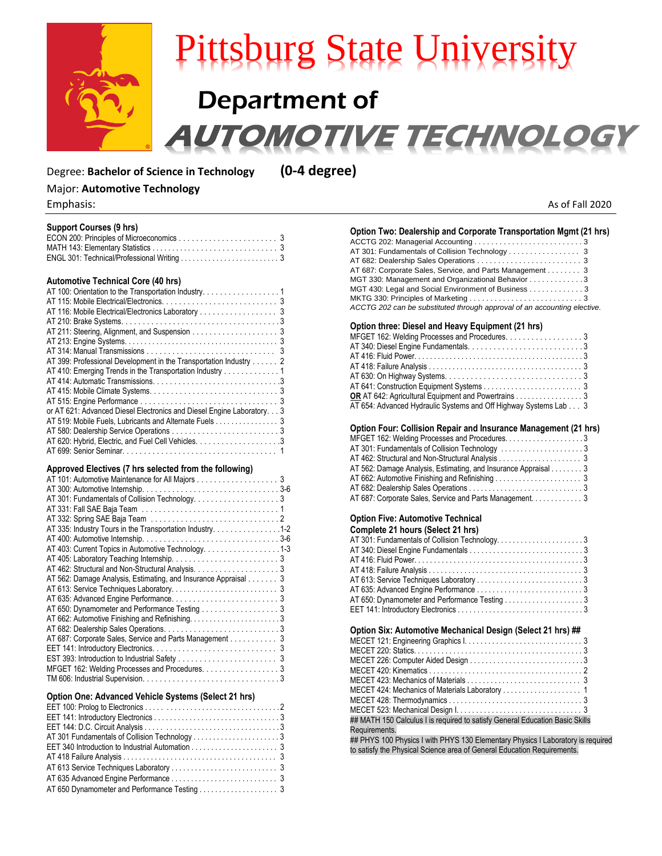

# Pittsburg State University Department of **TOMOTIVE TECHNOLOGY**

## Degree: **Bachelor of Science in Technology (0-4 degree)**

# Major: **Automotive Technology**

| <b>Support Courses (9 hrs)</b><br>MATH 143: Elementary Statistics                                                                                                                                                                                                                                                                                                                                                            |  |
|------------------------------------------------------------------------------------------------------------------------------------------------------------------------------------------------------------------------------------------------------------------------------------------------------------------------------------------------------------------------------------------------------------------------------|--|
| <b>Automotive Technical Core (40 hrs)</b><br>AT 100: Orientation to the Transportation Industry. 1<br>AT 116: Mobile Electrical/Electronics Laboratory<br>AT 399: Professional Development in the Transportation Industry 2<br>AT 410: Emerging Trends in the Transportation Industry 1<br>or AT 621: Advanced Diesel Electronics and Diesel Engine Laboratory. 3<br>AT 519: Mobile Fuels, Lubricants and Alternate Fuels  3 |  |
| Approved Electives (7 hrs selected from the following)<br>AT 335: Industry Tours in the Transportation Industry. 1-2<br>AT 403: Current Topics in Automotive Technology. 1-3<br>AT 562: Damage Analysis, Estimating, and Insurance Appraisal 3<br>AT 650: Dynamometer and Performance Testing 3<br>AT 687: Corporate Sales, Service and Parts Management 3<br>MFGET 162: Welding Processes and Procedures. 3                 |  |

## **Option One: Advanced Vehicle Systems (Select 21 hrs)**

| AT 650 Dynamometer and Performance Testing 3 |  |
|----------------------------------------------|--|

| Emphasis: | As of Fall 2020 |
|-----------|-----------------|
|           |                 |

## **Option Two: Dealership and Corporate Transportation Mgmt (21 hrs)** ACCTG 202: Managerial Accounting . . . . . . . . . . . . . . . . . . . . . . . . . . 3

| AT 687: Corporate Sales, Service, and Parts Management 3                 |  |
|--------------------------------------------------------------------------|--|
| MGT 330: Management and Organizational Behavior 3                        |  |
| MGT 430: Legal and Social Environment of Business 3                      |  |
|                                                                          |  |
| ACCTG 202 can be substituted through approval of an accounting elective. |  |

### **Option three: Diesel and Heavy Equipment (21 hrs)**

| MFGET 162: Welding Processes and Procedures. 3                   |  |
|------------------------------------------------------------------|--|
|                                                                  |  |
|                                                                  |  |
|                                                                  |  |
|                                                                  |  |
|                                                                  |  |
| <b>OR</b> AT 642: Agricultural Equipment and Powertrains 3       |  |
| AT 654: Advanced Hydraulic Systems and Off Highway Systems Lab 3 |  |
|                                                                  |  |

## **Option Four: Collision Repair and Insurance Management (21 hrs)**

| MFGET 162: Welding Processes and Procedures. 3                 |  |
|----------------------------------------------------------------|--|
|                                                                |  |
|                                                                |  |
| AT 562: Damage Analysis, Estimating, and Insurance Appraisal 3 |  |
|                                                                |  |
|                                                                |  |
| AT 687: Corporate Sales, Service and Parts Management. 3       |  |

# **Option Five: Automotive Technical**

| Complete 21 hours (Select 21 hrs)             |  |
|-----------------------------------------------|--|
| AT 301: Fundamentals of Collision Technology3 |  |
|                                               |  |
|                                               |  |
|                                               |  |
|                                               |  |
|                                               |  |
| AT 650: Dynamometer and Performance Testing 3 |  |
|                                               |  |

#### **Option Six: Automotive Mechanical Design (Select 21 hrs) ##**

| ## MATH 150 Calculus I is required to satisfy General Education Basic Skills |
|------------------------------------------------------------------------------|
| Requirements.                                                                |
|                                                                              |

## PHYS 100 Physics I with PHYS 130 Elementary Physics I Laboratory is required to satisfy the Physical Science area of General Education Requirements.